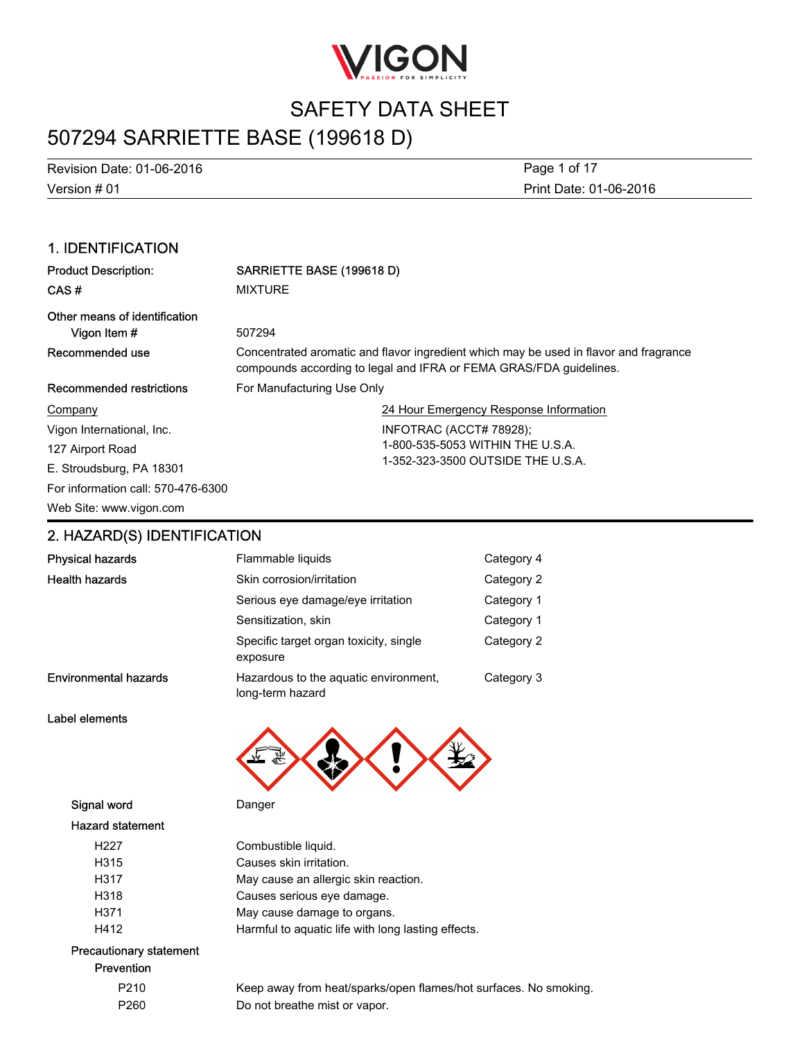

## 507294 SARRIETTE BASE (199618 D)

Version # 01 Revision Date: 01-06-2016 Print Date: 01-06-2016 Page 1 of 17

### 1. IDENTIFICATION

| <b>Product Description:</b>        | SARRIETTE BASE (199618 D)                                                                                                                                   |  |
|------------------------------------|-------------------------------------------------------------------------------------------------------------------------------------------------------------|--|
| CAS#                               | <b>MIXTURE</b>                                                                                                                                              |  |
| Other means of identification      |                                                                                                                                                             |  |
| Vigon Item#                        | 507294                                                                                                                                                      |  |
| Recommended use                    | Concentrated aromatic and flavor ingredient which may be used in flavor and fragrance<br>compounds according to legal and IFRA or FEMA GRAS/FDA guidelines. |  |
| Recommended restrictions           | For Manufacturing Use Only                                                                                                                                  |  |
| Company                            | 24 Hour Emergency Response Information                                                                                                                      |  |
| Vigon International, Inc.          | INFOTRAC (ACCT# 78928);                                                                                                                                     |  |
| 127 Airport Road                   | 1-800-535-5053 WITHIN THE U.S.A.                                                                                                                            |  |
| E. Stroudsburg, PA 18301           | 1-352-323-3500 OUTSIDE THE U.S.A.                                                                                                                           |  |
| For information call: 570-476-6300 |                                                                                                                                                             |  |
| Web Site: www.vigon.com            |                                                                                                                                                             |  |

### 2. HAZARD(S) IDENTIFICATION

| <b>Physical hazards</b>      | Flammable liquids                                         | Category 4 |
|------------------------------|-----------------------------------------------------------|------------|
| <b>Health hazards</b>        | Skin corrosion/irritation                                 | Category 2 |
|                              | Serious eye damage/eye irritation                         | Category 1 |
|                              | Sensitization, skin                                       | Category 1 |
|                              | Specific target organ toxicity, single<br>exposure        | Category 2 |
| <b>Environmental hazards</b> | Hazardous to the aquatic environment,<br>long-term hazard | Category 3 |

### Label elements



Signal word Danger

Hazard statement

### H227 Combustible liquid. H315 Causes skin irritation. H317 May cause an allergic skin reaction. H318 Causes serious eye damage. H371 May cause damage to organs. H412 Harmful to aquatic life with long lasting effects.

### Precautionary statement Prevention

| P <sub>210</sub><br>Keep away from heat/sparks/open flames/hot surfaces. No smoking.<br>P <sub>260</sub><br>Do not breathe mist or vapor. |  |  |
|-------------------------------------------------------------------------------------------------------------------------------------------|--|--|
|                                                                                                                                           |  |  |
|                                                                                                                                           |  |  |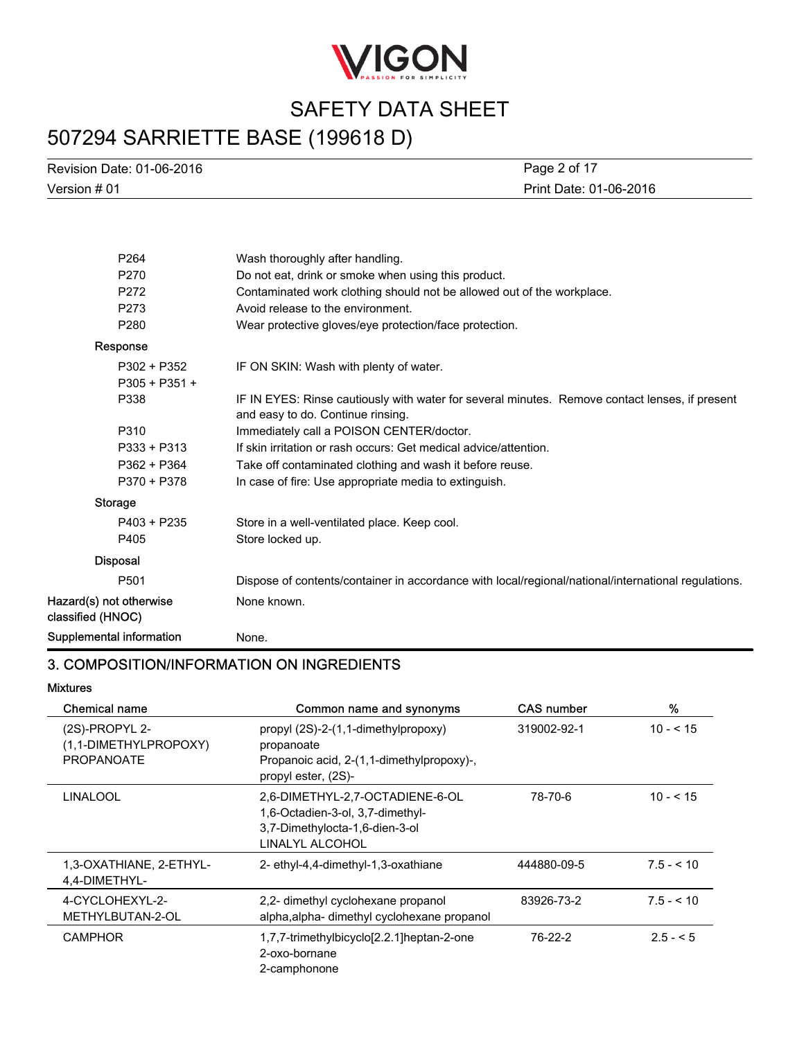

## 507294 SARRIETTE BASE (199618 D)

Version # 01 Revision Date: 01-06-2016 Print Date: 01-06-2016 Page 2 of 17

| P <sub>264</sub>                             | Wash thoroughly after handling.                                                                                                     |
|----------------------------------------------|-------------------------------------------------------------------------------------------------------------------------------------|
| P270                                         | Do not eat, drink or smoke when using this product.                                                                                 |
| P272                                         | Contaminated work clothing should not be allowed out of the workplace.                                                              |
| P273                                         | Avoid release to the environment.                                                                                                   |
| P <sub>280</sub>                             | Wear protective gloves/eye protection/face protection.                                                                              |
| Response                                     |                                                                                                                                     |
| P302 + P352                                  | IF ON SKIN: Wash with plenty of water.                                                                                              |
| $P305 + P351 +$                              |                                                                                                                                     |
| P338                                         | IF IN EYES: Rinse cautiously with water for several minutes. Remove contact lenses, if present<br>and easy to do. Continue rinsing. |
| P310                                         | Immediately call a POISON CENTER/doctor.                                                                                            |
| P333 + P313                                  | If skin irritation or rash occurs: Get medical advice/attention.                                                                    |
| P362 + P364                                  | Take off contaminated clothing and wash it before reuse.                                                                            |
| P370 + P378                                  | In case of fire: Use appropriate media to extinguish.                                                                               |
| Storage                                      |                                                                                                                                     |
| P403 + P235                                  | Store in a well-ventilated place. Keep cool.                                                                                        |
| P405                                         | Store locked up.                                                                                                                    |
| <b>Disposal</b>                              |                                                                                                                                     |
| P <sub>501</sub>                             | Dispose of contents/container in accordance with local/regional/national/international regulations.                                 |
| Hazard(s) not otherwise<br>classified (HNOC) | None known.                                                                                                                         |
| Supplemental information                     | None.                                                                                                                               |

### 3. COMPOSITION/INFORMATION ON INGREDIENTS

### Mixtures

| <b>Chemical name</b>                                         | Common name and synonyms                                                                                                 | <b>CAS number</b> | %             |
|--------------------------------------------------------------|--------------------------------------------------------------------------------------------------------------------------|-------------------|---------------|
| (2S)-PROPYL 2-<br>(1,1-DIMETHYLPROPOXY)<br><b>PROPANOATE</b> | propyl (2S)-2-(1,1-dimethylpropoxy)<br>propanoate<br>Propanoic acid, 2-(1,1-dimethylpropoxy)-,<br>propyl ester, (2S)-    | 319002-92-1       | $10 - 5 = 15$ |
| <b>LINALOOL</b>                                              | 2,6-DIMETHYL-2,7-OCTADIENE-6-OL<br>1,6-Octadien-3-ol, 3,7-dimethyl-<br>3,7-Dimethylocta-1,6-dien-3-ol<br>LINALYL ALCOHOL | 78-70-6           | $10 - 5 = 15$ |
| 1,3-OXATHIANE, 2-ETHYL-<br>4,4-DIMETHYL-                     | 2- ethyl-4,4-dimethyl-1,3-oxathiane                                                                                      | 444880-09-5       | $7.5 - 10$    |
| 4-CYCLOHEXYL-2-<br>METHYLBUTAN-2-OL                          | 2,2- dimethyl cyclohexane propanol<br>alpha, alpha-dimethyl cyclohexane propanol                                         | 83926-73-2        | $7.5 - 10$    |
| <b>CAMPHOR</b>                                               | 1,7,7-trimethylbicyclo[2.2.1]heptan-2-one<br>2-oxo-bornane<br>2-camphonone                                               | 76-22-2           | $2.5 - 5$     |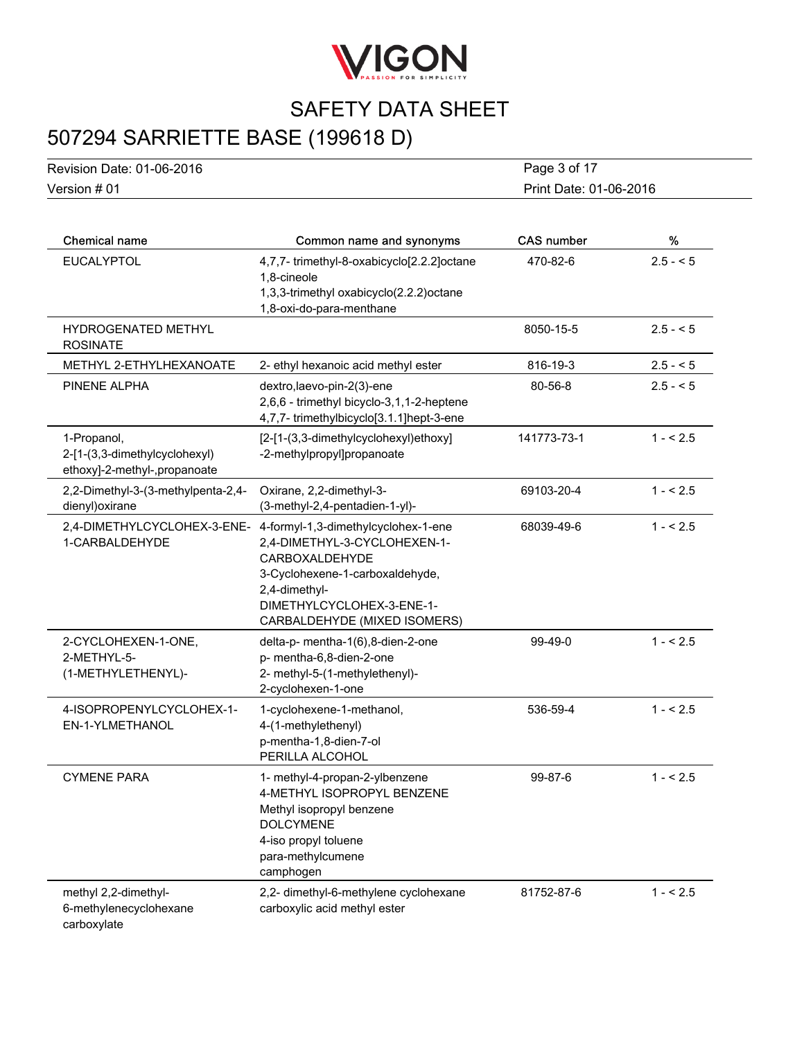

# 507294 SARRIETTE BASE (199618 D)

Version # 01 Revision Date: 01-06-2016 Print Date: 01-06-2016 Page 3 of 17

| <b>Chemical name</b>                                                         | Common name and synonyms                                                                                                                                                                               | <b>CAS number</b> | %         |
|------------------------------------------------------------------------------|--------------------------------------------------------------------------------------------------------------------------------------------------------------------------------------------------------|-------------------|-----------|
| <b>EUCALYPTOL</b>                                                            | 4,7,7-trimethyl-8-oxabicyclo[2.2.2]octane<br>1,8-cineole<br>1,3,3-trimethyl oxabicyclo(2.2.2) octane<br>1,8-oxi-do-para-menthane                                                                       | 470-82-6          | $2.5 - 5$ |
| <b>HYDROGENATED METHYL</b><br><b>ROSINATE</b>                                |                                                                                                                                                                                                        | 8050-15-5         | $2.5 - 5$ |
| METHYL 2-ETHYLHEXANOATE                                                      | 2- ethyl hexanoic acid methyl ester                                                                                                                                                                    | 816-19-3          | $2.5 - 5$ |
| PINENE ALPHA                                                                 | dextro, laevo-pin-2(3)-ene<br>2,6,6 - trimethyl bicyclo-3,1,1-2-heptene<br>4,7,7- trimethylbicyclo[3.1.1]hept-3-ene                                                                                    | 80-56-8           | $2.5 - 5$ |
| 1-Propanol,<br>2-[1-(3,3-dimethylcyclohexyl)<br>ethoxy]-2-methyl-,propanoate | [2-[1-(3,3-dimethylcyclohexyl)ethoxy]<br>-2-methylpropyl]propanoate                                                                                                                                    | 141773-73-1       | $1 - 5.5$ |
| 2,2-Dimethyl-3-(3-methylpenta-2,4-<br>dienyl) oxirane                        | Oxirane, 2,2-dimethyl-3-<br>(3-methyl-2,4-pentadien-1-yl)-                                                                                                                                             | 69103-20-4        | $1 - 5.5$ |
| 2,4-DIMETHYLCYCLOHEX-3-ENE-<br>1-CARBALDEHYDE                                | 4-formyl-1,3-dimethylcyclohex-1-ene<br>2,4-DIMETHYL-3-CYCLOHEXEN-1-<br>CARBOXALDEHYDE<br>3-Cyclohexene-1-carboxaldehyde,<br>2,4-dimethyl-<br>DIMETHYLCYCLOHEX-3-ENE-1-<br>CARBALDEHYDE (MIXED ISOMERS) | 68039-49-6        | $1 - 5.5$ |
| 2-CYCLOHEXEN-1-ONE,<br>2-METHYL-5-<br>(1-METHYLETHENYL)-                     | delta-p- mentha-1(6),8-dien-2-one<br>p- mentha-6,8-dien-2-one<br>2- methyl-5-(1-methylethenyl)-<br>2-cyclohexen-1-one                                                                                  | 99-49-0           | $1 - 5.5$ |
| 4-ISOPROPENYLCYCLOHEX-1-<br>EN-1-YLMETHANOL                                  | 1-cyclohexene-1-methanol,<br>4-(1-methylethenyl)<br>p-mentha-1,8-dien-7-ol<br>PERILLA ALCOHOL                                                                                                          | 536-59-4          | $1 - 5.5$ |
| <b>CYMENE PARA</b>                                                           | 1- methyl-4-propan-2-ylbenzene<br>4-METHYL ISOPROPYL BENZENE<br>Methyl isopropyl benzene<br><b>DOLCYMENE</b><br>4-iso propyl toluene<br>para-methylcumene<br>camphogen                                 | 99-87-6           | $1 - 5.5$ |
| methyl 2,2-dimethyl-<br>6-methylenecyclohexane<br>carboxylate                | 2,2- dimethyl-6-methylene cyclohexane<br>carboxylic acid methyl ester                                                                                                                                  | 81752-87-6        | $1 - 5.5$ |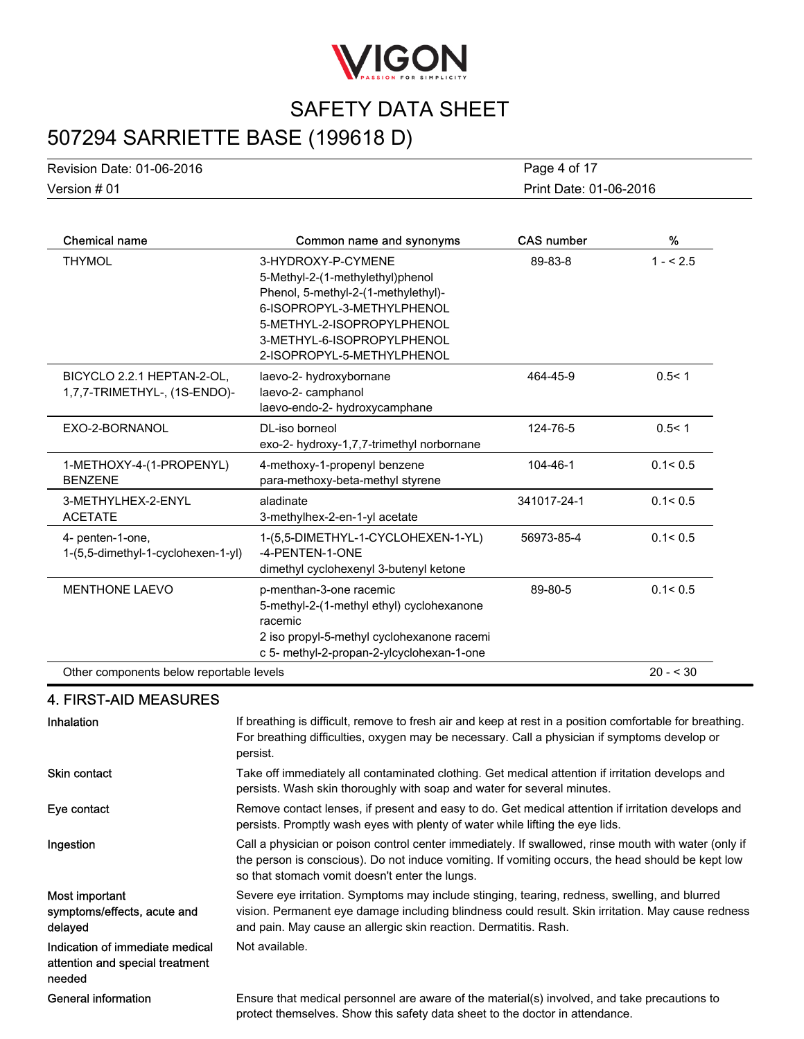

## 507294 SARRIETTE BASE (199618 D)

| Chemical name             | Common name and synonyms | <b>CAS number</b>      | % |  |
|---------------------------|--------------------------|------------------------|---|--|
| Version # 01              |                          | Print Date: 01-06-2016 |   |  |
| Revision Date: 01-06-2016 |                          | Page 4 of 17           |   |  |

| <b>UIGIIIUAI IIAIIIU</b>                                   | <b>COMMON HANG AND SYNONYMIS</b>                                                                                                                                                                                      | UAJ HUHIDEI | 70         |
|------------------------------------------------------------|-----------------------------------------------------------------------------------------------------------------------------------------------------------------------------------------------------------------------|-------------|------------|
| <b>THYMOL</b>                                              | 3-HYDROXY-P-CYMENE<br>5-Methyl-2-(1-methylethyl)phenol<br>Phenol, 5-methyl-2-(1-methylethyl)-<br>6-ISOPROPYL-3-METHYLPHENOL<br>5-METHYL-2-ISOPROPYLPHENOL<br>3-METHYL-6-ISOPROPYLPHENOL<br>2-ISOPROPYL-5-METHYLPHENOL | 89-83-8     | $1 - 5.5$  |
| BICYCLO 2.2.1 HEPTAN-2-OL,<br>1,7,7-TRIMETHYL-, (1S-ENDO)- | laevo-2- hydroxybornane<br>laevo-2- camphanol<br>laevo-endo-2- hydroxycamphane                                                                                                                                        | 464-45-9    | 0.5 < 1    |
| EXO-2-BORNANOL                                             | DL-iso borneol<br>exo-2- hydroxy-1,7,7-trimethyl norbornane                                                                                                                                                           | 124-76-5    | 0.5 < 1    |
| 1-METHOXY-4-(1-PROPENYL)<br><b>BENZENE</b>                 | 4-methoxy-1-propenyl benzene<br>para-methoxy-beta-methyl styrene                                                                                                                                                      | 104-46-1    | 0.1 < 0.5  |
| 3-METHYLHEX-2-ENYL<br><b>ACETATE</b>                       | aladinate<br>3-methylhex-2-en-1-yl acetate                                                                                                                                                                            | 341017-24-1 | 0.1 < 0.5  |
| 4- penten-1-one,<br>1-(5,5-dimethyl-1-cyclohexen-1-yl)     | 1-(5,5-DIMETHYL-1-CYCLOHEXEN-1-YL)<br>-4-PENTEN-1-ONE<br>dimethyl cyclohexenyl 3-butenyl ketone                                                                                                                       | 56973-85-4  | 0.1 < 0.5  |
| <b>MENTHONE LAEVO</b>                                      | p-menthan-3-one racemic<br>5-methyl-2-(1-methyl ethyl) cyclohexanone<br>racemic<br>2 iso propyl-5-methyl cyclohexanone racemi<br>c 5- methyl-2-propan-2-ylcyclohexan-1-one                                            | 89-80-5     | 0.1 < 0.5  |
| Other components below reportable levels                   |                                                                                                                                                                                                                       |             | $20 - 530$ |

### 4. FIRST-AID MEASURES

| Inhalation                                                                   | If breathing is difficult, remove to fresh air and keep at rest in a position comfortable for breathing.<br>For breathing difficulties, oxygen may be necessary. Call a physician if symptoms develop or<br>persist.                                                   |
|------------------------------------------------------------------------------|------------------------------------------------------------------------------------------------------------------------------------------------------------------------------------------------------------------------------------------------------------------------|
| <b>Skin contact</b>                                                          | Take off immediately all contaminated clothing. Get medical attention if irritation develops and<br>persists. Wash skin thoroughly with soap and water for several minutes.                                                                                            |
| Eye contact                                                                  | Remove contact lenses, if present and easy to do. Get medical attention if irritation develops and<br>persists. Promptly wash eyes with plenty of water while lifting the eye lids.                                                                                    |
| Ingestion                                                                    | Call a physician or poison control center immediately. If swallowed, rinse mouth with water (only if<br>the person is conscious). Do not induce vomiting. If vomiting occurs, the head should be kept low<br>so that stomach vomit doesn't enter the lungs.            |
| Most important<br>symptoms/effects, acute and<br>delayed                     | Severe eye irritation. Symptoms may include stinging, tearing, redness, swelling, and blurred<br>vision. Permanent eye damage including blindness could result. Skin irritation. May cause redness<br>and pain. May cause an allergic skin reaction. Dermatitis. Rash. |
| Indication of immediate medical<br>attention and special treatment<br>needed | Not available.                                                                                                                                                                                                                                                         |
| <b>General information</b>                                                   | Ensure that medical personnel are aware of the material(s) involved, and take precautions to<br>protect themselves. Show this safety data sheet to the doctor in attendance.                                                                                           |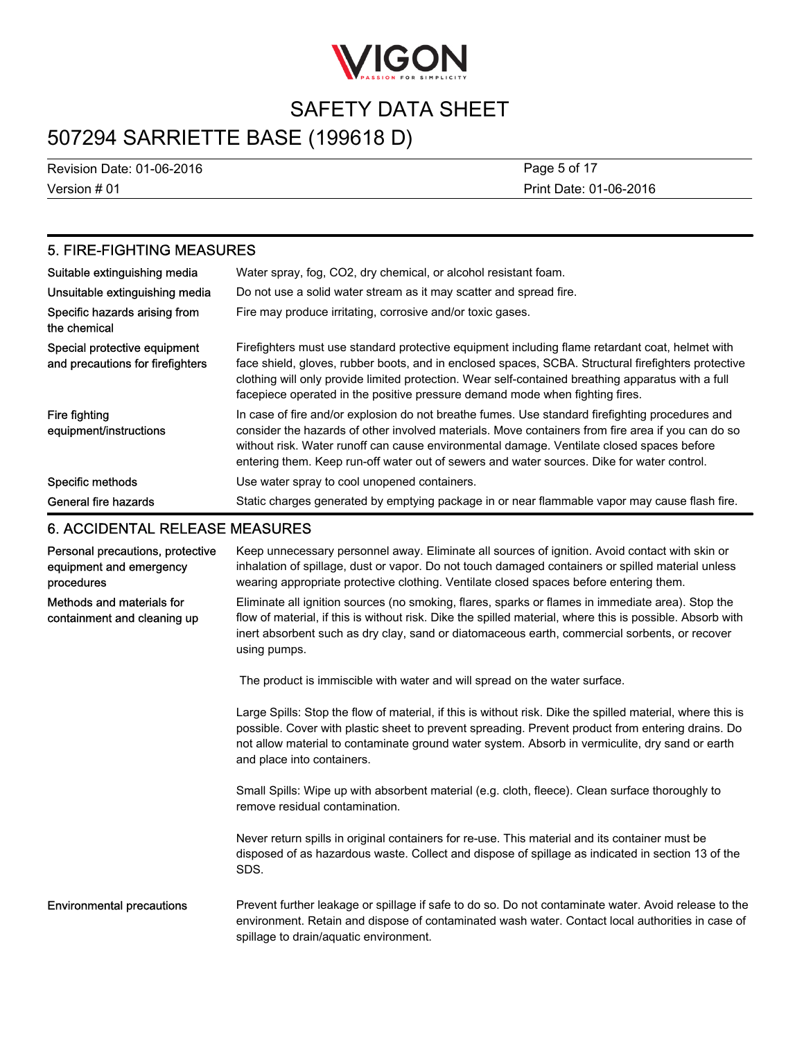

## 507294 SARRIETTE BASE (199618 D)

Version # 01 Revision Date: 01-06-2016

Print Date: 01-06-2016 Page 5 of 17

### 5. FIRE-FIGHTING MEASURES

| Suitable extinguishing media                                     | Water spray, fog, CO2, dry chemical, or alcohol resistant foam.                                                                                                                                                                                                                                                                                                                                 |
|------------------------------------------------------------------|-------------------------------------------------------------------------------------------------------------------------------------------------------------------------------------------------------------------------------------------------------------------------------------------------------------------------------------------------------------------------------------------------|
| Unsuitable extinguishing media                                   | Do not use a solid water stream as it may scatter and spread fire.                                                                                                                                                                                                                                                                                                                              |
| Specific hazards arising from<br>the chemical                    | Fire may produce irritating, corrosive and/or toxic gases.                                                                                                                                                                                                                                                                                                                                      |
| Special protective equipment<br>and precautions for firefighters | Firefighters must use standard protective equipment including flame retardant coat, helmet with<br>face shield, gloves, rubber boots, and in enclosed spaces, SCBA. Structural firefighters protective<br>clothing will only provide limited protection. Wear self-contained breathing apparatus with a full<br>facepiece operated in the positive pressure demand mode when fighting fires.    |
| Fire fighting<br>equipment/instructions                          | In case of fire and/or explosion do not breathe fumes. Use standard firefighting procedures and<br>consider the hazards of other involved materials. Move containers from fire area if you can do so<br>without risk. Water runoff can cause environmental damage. Ventilate closed spaces before<br>entering them. Keep run-off water out of sewers and water sources. Dike for water control. |
| Specific methods                                                 | Use water spray to cool unopened containers.                                                                                                                                                                                                                                                                                                                                                    |
| General fire hazards                                             | Static charges generated by emptying package in or near flammable vapor may cause flash fire.                                                                                                                                                                                                                                                                                                   |

### 6. ACCIDENTAL RELEASE MEASURES

| Personal precautions, protective<br>equipment and emergency<br>procedures | Keep unnecessary personnel away. Eliminate all sources of ignition. Avoid contact with skin or<br>inhalation of spillage, dust or vapor. Do not touch damaged containers or spilled material unless<br>wearing appropriate protective clothing. Ventilate closed spaces before entering them.                                                    |
|---------------------------------------------------------------------------|--------------------------------------------------------------------------------------------------------------------------------------------------------------------------------------------------------------------------------------------------------------------------------------------------------------------------------------------------|
| Methods and materials for<br>containment and cleaning up                  | Eliminate all ignition sources (no smoking, flares, sparks or flames in immediate area). Stop the<br>flow of material, if this is without risk. Dike the spilled material, where this is possible. Absorb with<br>inert absorbent such as dry clay, sand or diatomaceous earth, commercial sorbents, or recover<br>using pumps.                  |
|                                                                           | The product is immiscible with water and will spread on the water surface.                                                                                                                                                                                                                                                                       |
|                                                                           | Large Spills: Stop the flow of material, if this is without risk. Dike the spilled material, where this is<br>possible. Cover with plastic sheet to prevent spreading. Prevent product from entering drains. Do<br>not allow material to contaminate ground water system. Absorb in vermiculite, dry sand or earth<br>and place into containers. |
|                                                                           | Small Spills: Wipe up with absorbent material (e.g. cloth, fleece). Clean surface thoroughly to<br>remove residual contamination.                                                                                                                                                                                                                |
|                                                                           | Never return spills in original containers for re-use. This material and its container must be<br>disposed of as hazardous waste. Collect and dispose of spillage as indicated in section 13 of the<br>SDS.                                                                                                                                      |
| <b>Environmental precautions</b>                                          | Prevent further leakage or spillage if safe to do so. Do not contaminate water. Avoid release to the<br>environment. Retain and dispose of contaminated wash water. Contact local authorities in case of<br>spillage to drain/aquatic environment.                                                                                               |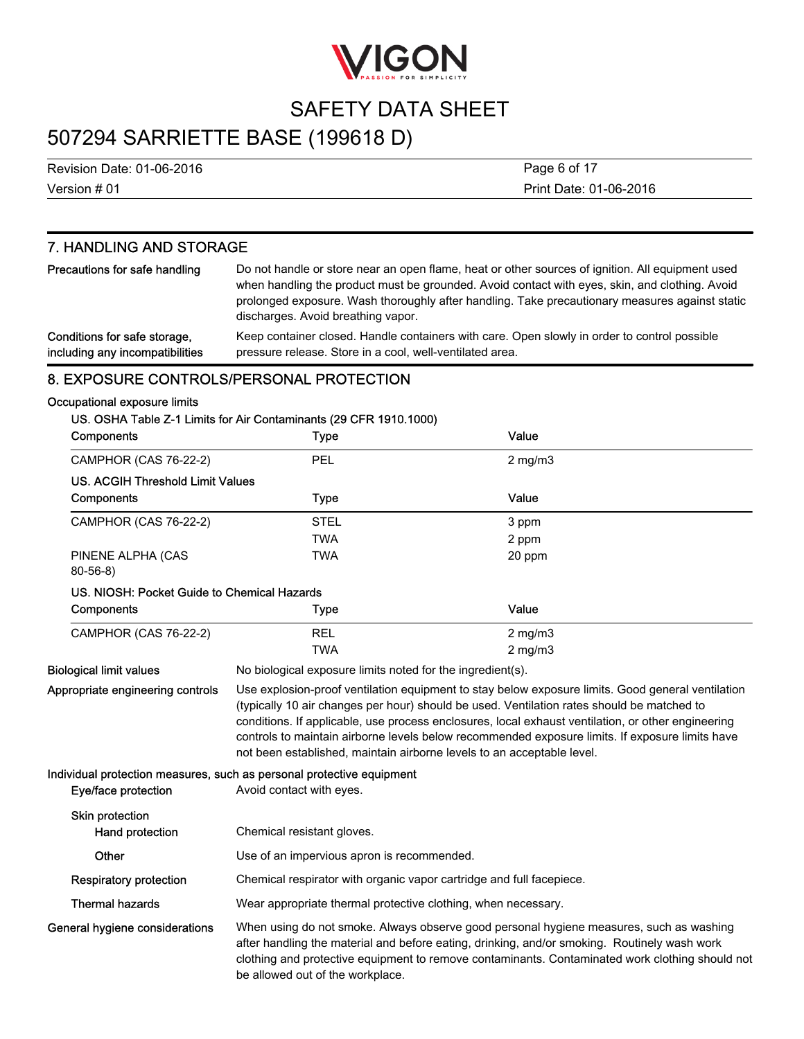

## 507294 SARRIETTE BASE (199618 D)

Version # 01 Revision Date: 01-06-2016 Print Date: 01-06-2016 Page 6 of 17

### 7. HANDLING AND STORAGE

| Precautions for safe handling   | Do not handle or store near an open flame, heat or other sources of ignition. All equipment used<br>when handling the product must be grounded. Avoid contact with eyes, skin, and clothing. Avoid<br>prolonged exposure. Wash thoroughly after handling. Take precautionary measures against static<br>discharges. Avoid breathing vapor. |
|---------------------------------|--------------------------------------------------------------------------------------------------------------------------------------------------------------------------------------------------------------------------------------------------------------------------------------------------------------------------------------------|
| Conditions for safe storage,    | Keep container closed. Handle containers with care. Open slowly in order to control possible                                                                                                                                                                                                                                               |
| including any incompatibilities | pressure release. Store in a cool, well-ventilated area.                                                                                                                                                                                                                                                                                   |

### 8. EXPOSURE CONTROLS/PERSONAL PROTECTION

#### Occupational exposure limits

#### US. OSHA Table Z-1 Limits for Air Contaminants (29 CFR 1910.1000)

| <b>Components</b>                           | <b>Type</b> | Value        |  |
|---------------------------------------------|-------------|--------------|--|
| <b>CAMPHOR (CAS 76-22-2)</b>                | PEL         | $2$ mg/m $3$ |  |
| US. ACGIH Threshold Limit Values            |             |              |  |
| <b>Components</b>                           | <b>Type</b> | Value        |  |
| CAMPHOR (CAS 76-22-2)                       | <b>STEL</b> | 3 ppm        |  |
|                                             | <b>TWA</b>  | 2 ppm        |  |
| PINENE ALPHA (CAS<br>$80 - 56 - 8$          | <b>TWA</b>  | 20 ppm       |  |
| US. NIOSH: Pocket Guide to Chemical Hazards |             |              |  |
| <b>Components</b>                           | Type        | Value        |  |
| <b>CAMPHOR (CAS 76-22-2)</b>                | <b>REL</b>  | $2$ mg/m $3$ |  |
|                                             | <b>TWA</b>  | $2$ mg/m $3$ |  |

Biological limit values No biological exposure limits noted for the ingredient(s).

Appropriate engineering controls Use explosion-proof ventilation equipment to stay below exposure limits. Good general ventilation (typically 10 air changes per hour) should be used. Ventilation rates should be matched to conditions. If applicable, use process enclosures, local exhaust ventilation, or other engineering controls to maintain airborne levels below recommended exposure limits. If exposure limits have not been established, maintain airborne levels to an acceptable level.

#### Individual protection measures, such as personal protective equipment

| Eye/face protection                       | Avoid contact with eyes.                                                                                                                                                                                                                                                                                                       |  |
|-------------------------------------------|--------------------------------------------------------------------------------------------------------------------------------------------------------------------------------------------------------------------------------------------------------------------------------------------------------------------------------|--|
| <b>Skin protection</b><br>Hand protection | Chemical resistant gloves.                                                                                                                                                                                                                                                                                                     |  |
| Other                                     | Use of an impervious apron is recommended.                                                                                                                                                                                                                                                                                     |  |
| Respiratory protection                    | Chemical respirator with organic vapor cartridge and full facepiece.                                                                                                                                                                                                                                                           |  |
| <b>Thermal hazards</b>                    | Wear appropriate thermal protective clothing, when necessary.                                                                                                                                                                                                                                                                  |  |
| General hygiene considerations            | When using do not smoke. Always observe good personal hygiene measures, such as washing<br>after handling the material and before eating, drinking, and/or smoking. Routinely wash work<br>clothing and protective equipment to remove contaminants. Contaminated work clothing should not<br>be allowed out of the workplace. |  |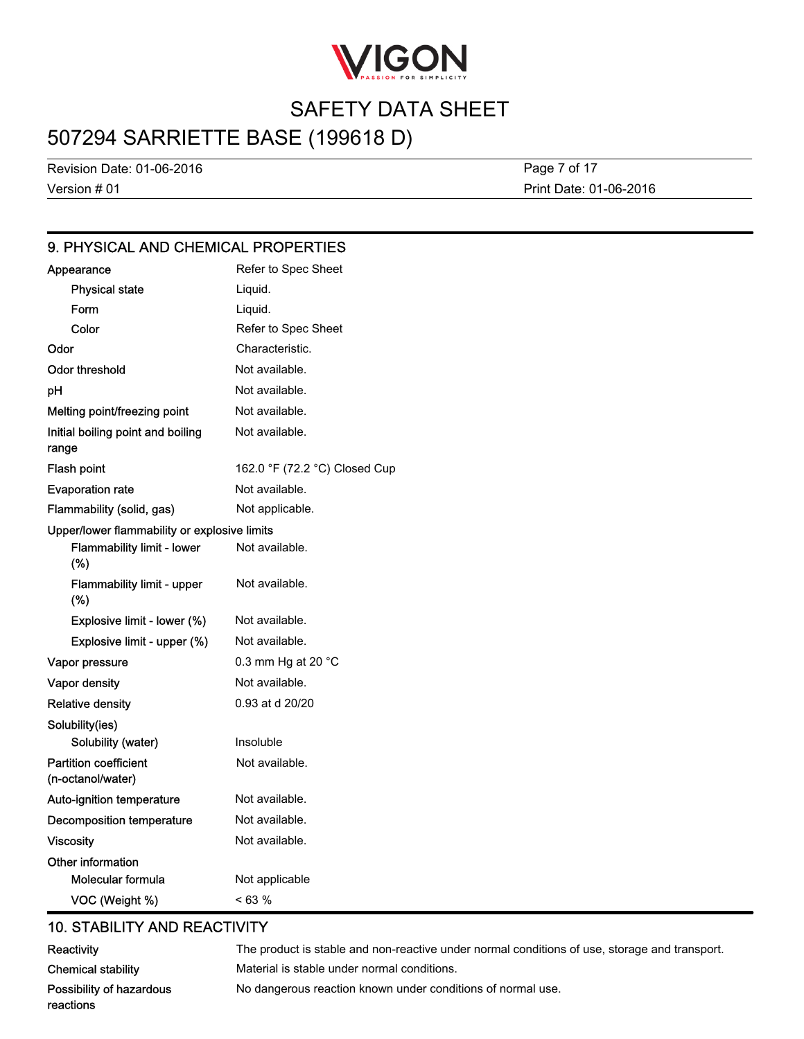

## 507294 SARRIETTE BASE (199618 D)

Version # 01 Revision Date: 01-06-2016

Print Date: 01-06-2016 Page 7 of 17

### 9. PHYSICAL AND CHEMICAL PROPERTIES

| Appearance                                        | Refer to Spec Sheet           |
|---------------------------------------------------|-------------------------------|
| <b>Physical state</b>                             | Liquid.                       |
| Form                                              | Liquid.                       |
| Color                                             | Refer to Spec Sheet           |
| Odor                                              | Characteristic.               |
| Odor threshold                                    | Not available.                |
| pH                                                | Not available.                |
| Melting point/freezing point                      | Not available.                |
| Initial boiling point and boiling<br>range        | Not available.                |
| Flash point                                       | 162.0 °F (72.2 °C) Closed Cup |
| <b>Evaporation rate</b>                           | Not available.                |
| Flammability (solid, gas)                         | Not applicable.               |
| Upper/lower flammability or explosive limits      |                               |
| <b>Flammability limit - lower</b><br>(%)          | Not available.                |
| Flammability limit - upper<br>(%)                 | Not available.                |
| Explosive limit - lower (%)                       | Not available.                |
| Explosive limit - upper (%)                       | Not available.                |
| Vapor pressure                                    | 0.3 mm Hg at 20 °C            |
| Vapor density                                     | Not available.                |
| <b>Relative density</b>                           | 0.93 at d 20/20               |
| Solubility(ies)                                   |                               |
| Solubility (water)                                | Insoluble                     |
| <b>Partition coefficient</b><br>(n-octanol/water) | Not available.                |
| Auto-ignition temperature                         | Not available.                |
| Decomposition temperature                         | Not available.                |
| <b>Viscosity</b>                                  | Not available.                |
| Other information                                 |                               |
| Molecular formula                                 | Not applicable                |
| VOC (Weight %)                                    | < 63 %                        |

### 10. STABILITY AND REACTIVITY

| Reactivity                | The product is stable and non-reactive under normal conditions of use, storage and transport. |
|---------------------------|-----------------------------------------------------------------------------------------------|
| <b>Chemical stability</b> | Material is stable under normal conditions.                                                   |
| Possibility of hazardous  | No dangerous reaction known under conditions of normal use.                                   |
| reactions                 |                                                                                               |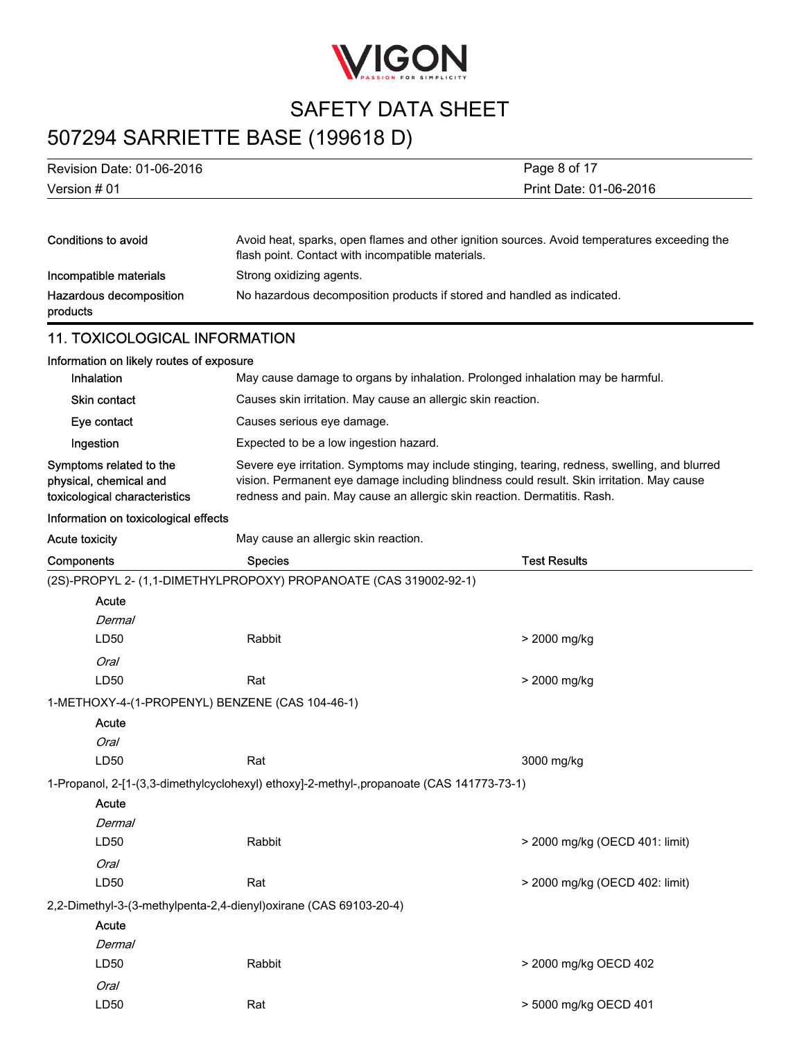

# 507294 SARRIETTE BASE (199618 D)

| Revision Date: 01-06-2016                                                          |                                                                                          | Page 8 of 17                                                                                                                                                                               |  |
|------------------------------------------------------------------------------------|------------------------------------------------------------------------------------------|--------------------------------------------------------------------------------------------------------------------------------------------------------------------------------------------|--|
| Version # 01                                                                       | Print Date: 01-06-2016                                                                   |                                                                                                                                                                                            |  |
|                                                                                    |                                                                                          |                                                                                                                                                                                            |  |
| <b>Conditions to avoid</b>                                                         | flash point. Contact with incompatible materials.                                        | Avoid heat, sparks, open flames and other ignition sources. Avoid temperatures exceeding the                                                                                               |  |
| Incompatible materials                                                             | Strong oxidizing agents.                                                                 |                                                                                                                                                                                            |  |
| Hazardous decomposition<br>products                                                | No hazardous decomposition products if stored and handled as indicated.                  |                                                                                                                                                                                            |  |
| <b>11. TOXICOLOGICAL INFORMATION</b>                                               |                                                                                          |                                                                                                                                                                                            |  |
| Information on likely routes of exposure                                           |                                                                                          |                                                                                                                                                                                            |  |
| Inhalation                                                                         |                                                                                          | May cause damage to organs by inhalation. Prolonged inhalation may be harmful.                                                                                                             |  |
| <b>Skin contact</b>                                                                | Causes skin irritation. May cause an allergic skin reaction.                             |                                                                                                                                                                                            |  |
| Eye contact                                                                        | Causes serious eye damage.                                                               |                                                                                                                                                                                            |  |
| Ingestion                                                                          | Expected to be a low ingestion hazard.                                                   |                                                                                                                                                                                            |  |
| Symptoms related to the<br>physical, chemical and<br>toxicological characteristics | redness and pain. May cause an allergic skin reaction. Dermatitis. Rash.                 | Severe eye irritation. Symptoms may include stinging, tearing, redness, swelling, and blurred<br>vision. Permanent eye damage including blindness could result. Skin irritation. May cause |  |
| Information on toxicological effects                                               |                                                                                          |                                                                                                                                                                                            |  |
| <b>Acute toxicity</b>                                                              | May cause an allergic skin reaction.                                                     |                                                                                                                                                                                            |  |
| Components                                                                         | <b>Species</b>                                                                           | <b>Test Results</b>                                                                                                                                                                        |  |
|                                                                                    | (2S)-PROPYL 2- (1,1-DIMETHYLPROPOXY) PROPANOATE (CAS 319002-92-1)                        |                                                                                                                                                                                            |  |
| Acute                                                                              |                                                                                          |                                                                                                                                                                                            |  |
| Dermal                                                                             |                                                                                          |                                                                                                                                                                                            |  |
| LD50                                                                               | Rabbit                                                                                   | > 2000 mg/kg                                                                                                                                                                               |  |
| <b>Oral</b>                                                                        |                                                                                          |                                                                                                                                                                                            |  |
| LD50                                                                               | Rat                                                                                      | > 2000 mg/kg                                                                                                                                                                               |  |
| 1-METHOXY-4-(1-PROPENYL) BENZENE (CAS 104-46-1)                                    |                                                                                          |                                                                                                                                                                                            |  |
| Acute                                                                              |                                                                                          |                                                                                                                                                                                            |  |
| Oral                                                                               |                                                                                          |                                                                                                                                                                                            |  |
| LD50                                                                               | Rat                                                                                      | 3000 mg/kg                                                                                                                                                                                 |  |
|                                                                                    | 1-Propanol, 2-[1-(3,3-dimethylcyclohexyl) ethoxy]-2-methyl-,propanoate (CAS 141773-73-1) |                                                                                                                                                                                            |  |
| Acute                                                                              |                                                                                          |                                                                                                                                                                                            |  |
| <b>Dermal</b>                                                                      |                                                                                          |                                                                                                                                                                                            |  |
| LD50                                                                               | Rabbit                                                                                   | > 2000 mg/kg (OECD 401: limit)                                                                                                                                                             |  |
| Oral                                                                               |                                                                                          |                                                                                                                                                                                            |  |
| LD50                                                                               | Rat                                                                                      | > 2000 mg/kg (OECD 402: limit)                                                                                                                                                             |  |
|                                                                                    | 2,2-Dimethyl-3-(3-methylpenta-2,4-dienyl) oxirane (CAS 69103-20-4)                       |                                                                                                                                                                                            |  |
| Acute                                                                              |                                                                                          |                                                                                                                                                                                            |  |
| <b>Dermal</b>                                                                      |                                                                                          |                                                                                                                                                                                            |  |
| LD50                                                                               | Rabbit                                                                                   | > 2000 mg/kg OECD 402                                                                                                                                                                      |  |
| Oral                                                                               |                                                                                          |                                                                                                                                                                                            |  |
| LD50                                                                               | Rat                                                                                      | > 5000 mg/kg OECD 401                                                                                                                                                                      |  |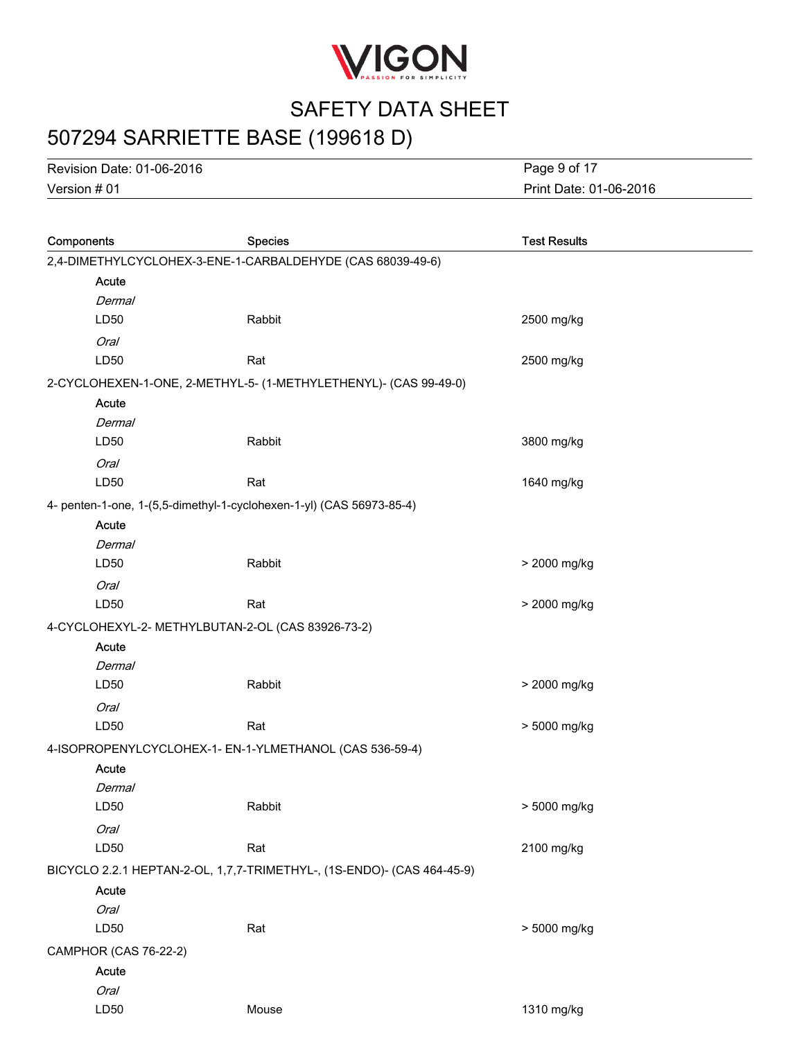

# 507294 SARRIETTE BASE (199618 D)

Version # 01 Revision Date: 01-06-2016 Print Date: 01-06-2016 Page 9 of 17

| Components            | <b>Species</b>                                                         | <b>Test Results</b> |
|-----------------------|------------------------------------------------------------------------|---------------------|
|                       | 2,4-DIMETHYLCYCLOHEX-3-ENE-1-CARBALDEHYDE (CAS 68039-49-6)             |                     |
| Acute                 |                                                                        |                     |
| Dermal                |                                                                        |                     |
| LD50                  | Rabbit                                                                 | 2500 mg/kg          |
| <b>Oral</b>           |                                                                        |                     |
| LD50                  | Rat                                                                    | 2500 mg/kg          |
|                       | 2-CYCLOHEXEN-1-ONE, 2-METHYL-5- (1-METHYLETHENYL)- (CAS 99-49-0)       |                     |
| Acute                 |                                                                        |                     |
| <b>Dermal</b>         |                                                                        |                     |
| LD50                  | Rabbit                                                                 | 3800 mg/kg          |
| Oral                  |                                                                        |                     |
| LD50                  | Rat                                                                    | 1640 mg/kg          |
|                       | 4- penten-1-one, 1-(5,5-dimethyl-1-cyclohexen-1-yl) (CAS 56973-85-4)   |                     |
| Acute                 |                                                                        |                     |
| Dermal                |                                                                        |                     |
| LD50                  | Rabbit                                                                 | > 2000 mg/kg        |
| Oral                  |                                                                        |                     |
| LD50                  | Rat                                                                    | > 2000 mg/kg        |
|                       | 4-CYCLOHEXYL-2- METHYLBUTAN-2-OL (CAS 83926-73-2)                      |                     |
| Acute                 |                                                                        |                     |
| Dermal                |                                                                        |                     |
| LD50                  | Rabbit                                                                 | > 2000 mg/kg        |
| <b>Oral</b>           |                                                                        |                     |
| LD50                  | Rat                                                                    | > 5000 mg/kg        |
|                       | 4-ISOPROPENYLCYCLOHEX-1- EN-1-YLMETHANOL (CAS 536-59-4)                |                     |
| Acute                 |                                                                        |                     |
| Dermal                |                                                                        |                     |
| LD50                  | Rabbit                                                                 | > 5000 mg/kg        |
| Oral                  |                                                                        |                     |
| LD50                  | Rat                                                                    | 2100 mg/kg          |
|                       | BICYCLO 2.2.1 HEPTAN-2-OL, 1,7,7-TRIMETHYL-, (1S-ENDO)- (CAS 464-45-9) |                     |
| Acute                 |                                                                        |                     |
| <b>Oral</b>           |                                                                        |                     |
| LD50                  | Rat                                                                    | > 5000 mg/kg        |
| CAMPHOR (CAS 76-22-2) |                                                                        |                     |
| <b>Acute</b>          |                                                                        |                     |
| <b>Oral</b>           |                                                                        |                     |
| LD50                  | Mouse                                                                  | 1310 mg/kg          |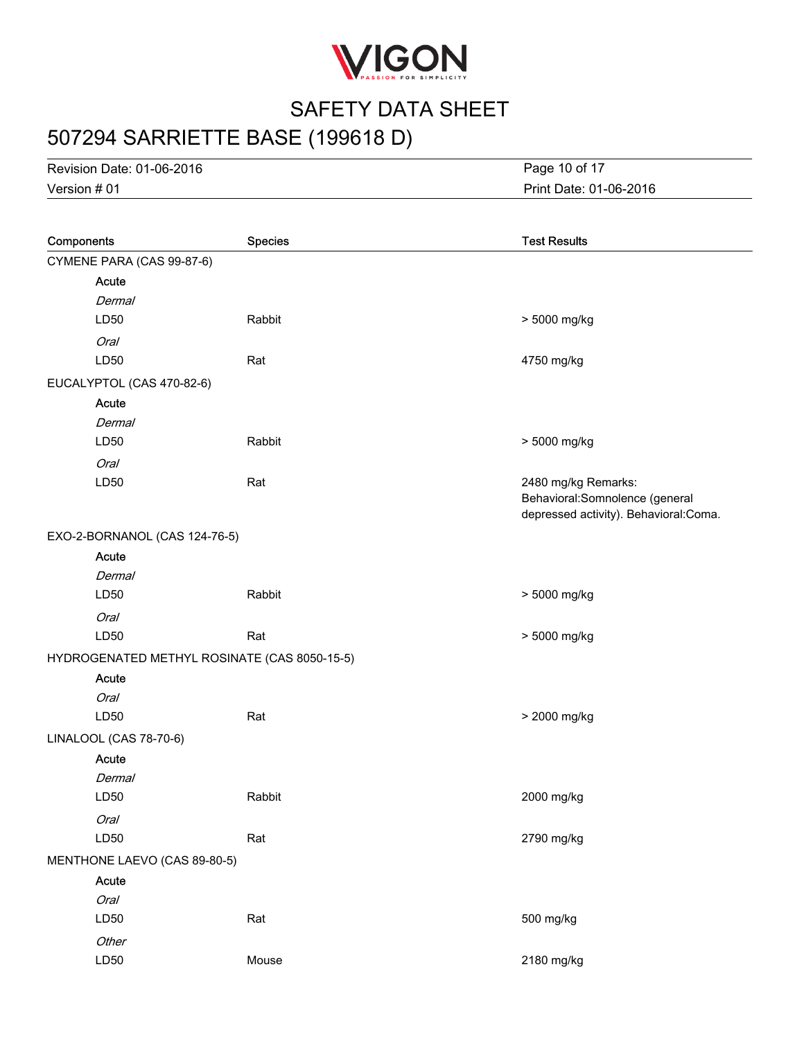

# 507294 SARRIETTE BASE (199618 D)

Version # 01 Revision Date: 01-06-2016 Print Date: 01-06-2016 Page 10 of 17

| Components                                   | <b>Species</b> | <b>Test Results</b>                                                                             |
|----------------------------------------------|----------------|-------------------------------------------------------------------------------------------------|
| CYMENE PARA (CAS 99-87-6)                    |                |                                                                                                 |
| Acute                                        |                |                                                                                                 |
| Dermal                                       |                |                                                                                                 |
| LD50                                         | Rabbit         | > 5000 mg/kg                                                                                    |
| Oral                                         |                |                                                                                                 |
| LD50                                         | Rat            | 4750 mg/kg                                                                                      |
| EUCALYPTOL (CAS 470-82-6)                    |                |                                                                                                 |
| Acute                                        |                |                                                                                                 |
| Dermal                                       |                |                                                                                                 |
| LD50                                         | Rabbit         | > 5000 mg/kg                                                                                    |
| Oral                                         |                |                                                                                                 |
| LD50                                         | Rat            | 2480 mg/kg Remarks:<br>Behavioral: Somnolence (general<br>depressed activity). Behavioral:Coma. |
| EXO-2-BORNANOL (CAS 124-76-5)                |                |                                                                                                 |
| Acute                                        |                |                                                                                                 |
| Dermal                                       |                |                                                                                                 |
| LD50                                         | Rabbit         | > 5000 mg/kg                                                                                    |
| Oral                                         |                |                                                                                                 |
| LD50                                         | Rat            | > 5000 mg/kg                                                                                    |
| HYDROGENATED METHYL ROSINATE (CAS 8050-15-5) |                |                                                                                                 |
| Acute                                        |                |                                                                                                 |
| Oral                                         |                |                                                                                                 |
| LD50                                         | Rat            | > 2000 mg/kg                                                                                    |
| LINALOOL (CAS 78-70-6)                       |                |                                                                                                 |
| Acute                                        |                |                                                                                                 |
| Dermal                                       |                |                                                                                                 |
| LD50                                         | Rabbit         | 2000 mg/kg                                                                                      |
| Oral                                         |                |                                                                                                 |
| LD50                                         | Rat            | 2790 mg/kg                                                                                      |
| MENTHONE LAEVO (CAS 89-80-5)                 |                |                                                                                                 |
| Acute                                        |                |                                                                                                 |
| <b>Oral</b>                                  |                |                                                                                                 |
| LD50                                         | Rat            | 500 mg/kg                                                                                       |
| Other                                        |                |                                                                                                 |
| LD50                                         | Mouse          | 2180 mg/kg                                                                                      |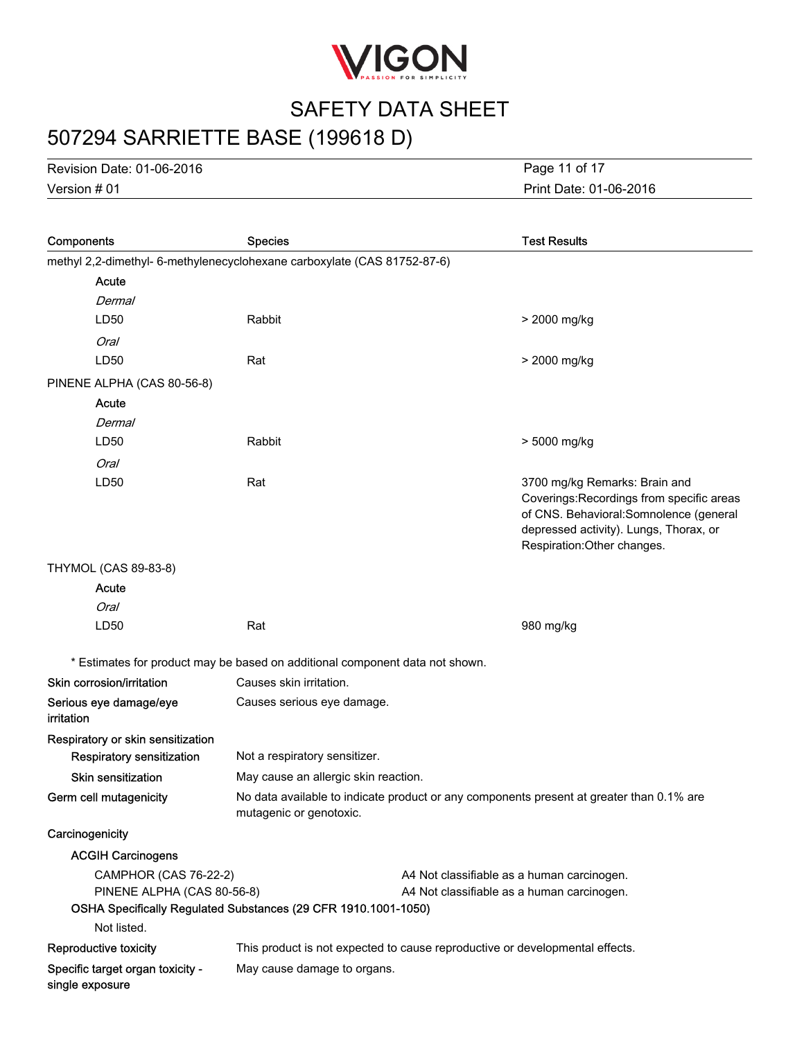

# 507294 SARRIETTE BASE (199618 D)

Version # 01 Revision Date: 01-06-2016 Print Date: 01-06-2016 Page 11 of 17

| Components                                                               | <b>Species</b>                                                               |                                            | <b>Test Results</b>                                                                                                                                                                            |
|--------------------------------------------------------------------------|------------------------------------------------------------------------------|--------------------------------------------|------------------------------------------------------------------------------------------------------------------------------------------------------------------------------------------------|
| methyl 2,2-dimethyl- 6-methylenecyclohexane carboxylate (CAS 81752-87-6) |                                                                              |                                            |                                                                                                                                                                                                |
| Acute                                                                    |                                                                              |                                            |                                                                                                                                                                                                |
| Dermal                                                                   |                                                                              |                                            |                                                                                                                                                                                                |
| LD50                                                                     | Rabbit                                                                       |                                            | > 2000 mg/kg                                                                                                                                                                                   |
| <b>Oral</b>                                                              |                                                                              |                                            |                                                                                                                                                                                                |
| LD50                                                                     | Rat                                                                          |                                            | > 2000 mg/kg                                                                                                                                                                                   |
| PINENE ALPHA (CAS 80-56-8)                                               |                                                                              |                                            |                                                                                                                                                                                                |
| Acute                                                                    |                                                                              |                                            |                                                                                                                                                                                                |
| Dermal                                                                   |                                                                              |                                            |                                                                                                                                                                                                |
| LD50                                                                     | Rabbit                                                                       |                                            | > 5000 mg/kg                                                                                                                                                                                   |
| <b>Oral</b>                                                              |                                                                              |                                            |                                                                                                                                                                                                |
| LD50                                                                     | Rat                                                                          |                                            | 3700 mg/kg Remarks: Brain and<br>Coverings: Recordings from specific areas<br>of CNS. Behavioral: Somnolence (general<br>depressed activity). Lungs, Thorax, or<br>Respiration: Other changes. |
| <b>THYMOL (CAS 89-83-8)</b>                                              |                                                                              |                                            |                                                                                                                                                                                                |
| Acute                                                                    |                                                                              |                                            |                                                                                                                                                                                                |
| <b>Oral</b>                                                              |                                                                              |                                            |                                                                                                                                                                                                |
| LD50                                                                     | Rat                                                                          |                                            | 980 mg/kg                                                                                                                                                                                      |
|                                                                          | * Estimates for product may be based on additional component data not shown. |                                            |                                                                                                                                                                                                |
| Skin corrosion/irritation                                                | Causes skin irritation.                                                      |                                            |                                                                                                                                                                                                |
| Serious eye damage/eye<br><i>irritation</i>                              | Causes serious eye damage.                                                   |                                            |                                                                                                                                                                                                |
| Respiratory or skin sensitization                                        |                                                                              |                                            |                                                                                                                                                                                                |
| Respiratory sensitization                                                | Not a respiratory sensitizer.                                                |                                            |                                                                                                                                                                                                |
| <b>Skin sensitization</b>                                                | May cause an allergic skin reaction.                                         |                                            |                                                                                                                                                                                                |
| Germ cell mutagenicity                                                   | mutagenic or genotoxic.                                                      |                                            | No data available to indicate product or any components present at greater than 0.1% are                                                                                                       |
| Carcinogenicity                                                          |                                                                              |                                            |                                                                                                                                                                                                |
| <b>ACGIH Carcinogens</b>                                                 |                                                                              |                                            |                                                                                                                                                                                                |
| <b>CAMPHOR (CAS 76-22-2)</b>                                             |                                                                              | A4 Not classifiable as a human carcinogen. |                                                                                                                                                                                                |
| PINENE ALPHA (CAS 80-56-8)                                               |                                                                              | A4 Not classifiable as a human carcinogen. |                                                                                                                                                                                                |
|                                                                          | OSHA Specifically Regulated Substances (29 CFR 1910.1001-1050)               |                                            |                                                                                                                                                                                                |
| Not listed.                                                              |                                                                              |                                            |                                                                                                                                                                                                |
| Reproductive toxicity                                                    | This product is not expected to cause reproductive or developmental effects. |                                            |                                                                                                                                                                                                |
| Specific target organ toxicity -<br>single exposure                      | May cause damage to organs.                                                  |                                            |                                                                                                                                                                                                |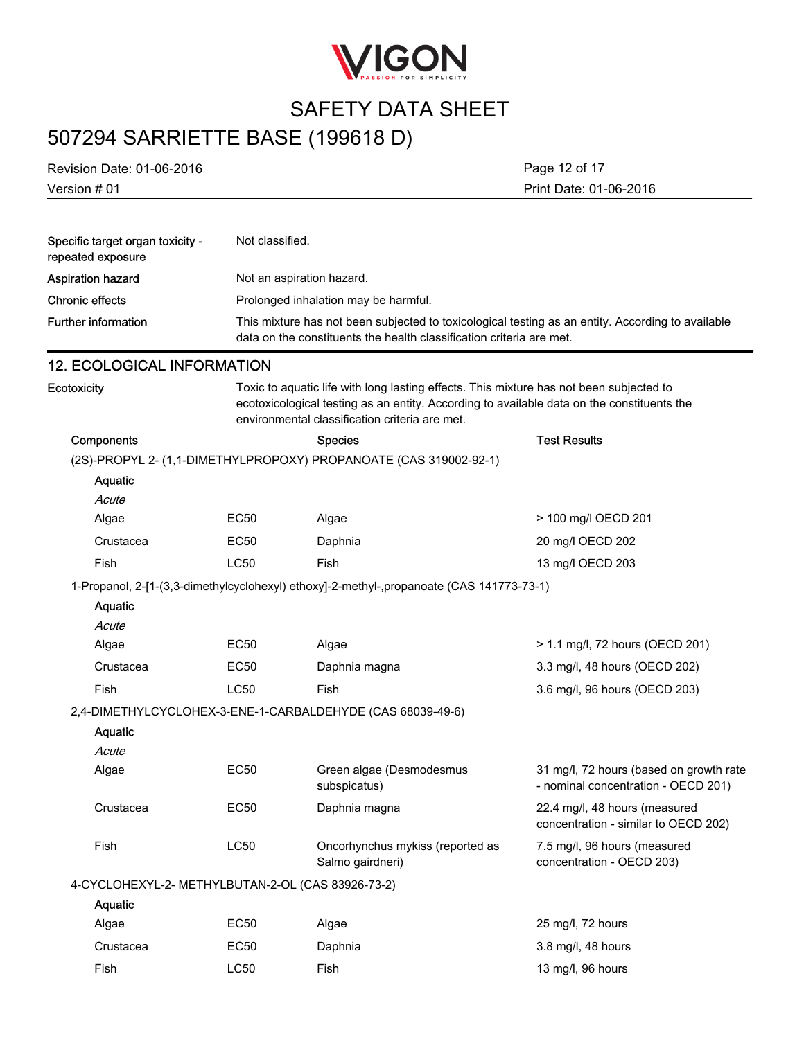

## 507294 SARRIETTE BASE (199618 D)

| Revision Date: 01-06-2016                             |                 | Page 12 of 17                                                                                                                                                                                                                           |                                                                                |  |
|-------------------------------------------------------|-----------------|-----------------------------------------------------------------------------------------------------------------------------------------------------------------------------------------------------------------------------------------|--------------------------------------------------------------------------------|--|
| Version # 01                                          |                 |                                                                                                                                                                                                                                         | Print Date: 01-06-2016                                                         |  |
|                                                       |                 |                                                                                                                                                                                                                                         |                                                                                |  |
| Specific target organ toxicity -<br>repeated exposure | Not classified. |                                                                                                                                                                                                                                         |                                                                                |  |
| <b>Aspiration hazard</b>                              |                 | Not an aspiration hazard.                                                                                                                                                                                                               |                                                                                |  |
| <b>Chronic effects</b>                                |                 | Prolonged inhalation may be harmful.                                                                                                                                                                                                    |                                                                                |  |
| <b>Further information</b>                            |                 | This mixture has not been subjected to toxicological testing as an entity. According to available<br>data on the constituents the health classification criteria are met.                                                               |                                                                                |  |
| <b>12. ECOLOGICAL INFORMATION</b>                     |                 |                                                                                                                                                                                                                                         |                                                                                |  |
| Ecotoxicity                                           |                 | Toxic to aquatic life with long lasting effects. This mixture has not been subjected to<br>ecotoxicological testing as an entity. According to available data on the constituents the<br>environmental classification criteria are met. |                                                                                |  |
| Components                                            |                 | <b>Species</b>                                                                                                                                                                                                                          | <b>Test Results</b>                                                            |  |
|                                                       |                 | (2S)-PROPYL 2- (1,1-DIMETHYLPROPOXY) PROPANOATE (CAS 319002-92-1)                                                                                                                                                                       |                                                                                |  |
| <b>Aquatic</b>                                        |                 |                                                                                                                                                                                                                                         |                                                                                |  |
| Acute                                                 |                 |                                                                                                                                                                                                                                         |                                                                                |  |
| Algae                                                 | <b>EC50</b>     | Algae                                                                                                                                                                                                                                   | > 100 mg/l OECD 201                                                            |  |
| Crustacea                                             | <b>EC50</b>     | Daphnia                                                                                                                                                                                                                                 | 20 mg/l OECD 202                                                               |  |
| Fish                                                  | <b>LC50</b>     | Fish                                                                                                                                                                                                                                    | 13 mg/l OECD 203                                                               |  |
|                                                       |                 | 1-Propanol, 2-[1-(3,3-dimethylcyclohexyl) ethoxy]-2-methyl-,propanoate (CAS 141773-73-1)                                                                                                                                                |                                                                                |  |
| <b>Aquatic</b>                                        |                 |                                                                                                                                                                                                                                         |                                                                                |  |
| Acute                                                 |                 |                                                                                                                                                                                                                                         |                                                                                |  |
| Algae                                                 | EC50            | Algae                                                                                                                                                                                                                                   | > 1.1 mg/l, 72 hours (OECD 201)                                                |  |
| Crustacea                                             | <b>EC50</b>     | Daphnia magna                                                                                                                                                                                                                           | 3.3 mg/l, 48 hours (OECD 202)                                                  |  |
| Fish                                                  | <b>LC50</b>     | Fish                                                                                                                                                                                                                                    | 3.6 mg/l, 96 hours (OECD 203)                                                  |  |
|                                                       |                 | 2,4-DIMETHYLCYCLOHEX-3-ENE-1-CARBALDEHYDE (CAS 68039-49-6)                                                                                                                                                                              |                                                                                |  |
| <b>Aquatic</b>                                        |                 |                                                                                                                                                                                                                                         |                                                                                |  |
| Acute                                                 |                 |                                                                                                                                                                                                                                         |                                                                                |  |
| Algae                                                 | <b>EC50</b>     | Green algae (Desmodesmus<br>subspicatus)                                                                                                                                                                                                | 31 mg/l, 72 hours (based on growth rate<br>- nominal concentration - OECD 201) |  |
| Crustacea                                             | <b>EC50</b>     | Daphnia magna                                                                                                                                                                                                                           | 22.4 mg/l, 48 hours (measured<br>concentration - similar to OECD 202)          |  |
| Fish                                                  | <b>LC50</b>     | Oncorhynchus mykiss (reported as<br>Salmo gairdneri)                                                                                                                                                                                    | 7.5 mg/l, 96 hours (measured<br>concentration - OECD 203)                      |  |
| 4-CYCLOHEXYL-2- METHYLBUTAN-2-OL (CAS 83926-73-2)     |                 |                                                                                                                                                                                                                                         |                                                                                |  |
| Aquatic                                               |                 |                                                                                                                                                                                                                                         |                                                                                |  |
| Algae                                                 | <b>EC50</b>     | Algae                                                                                                                                                                                                                                   | 25 mg/l, 72 hours                                                              |  |
| Crustacea                                             | <b>EC50</b>     | Daphnia                                                                                                                                                                                                                                 | 3.8 mg/l, 48 hours                                                             |  |
| Fish                                                  | <b>LC50</b>     | Fish                                                                                                                                                                                                                                    | 13 mg/l, 96 hours                                                              |  |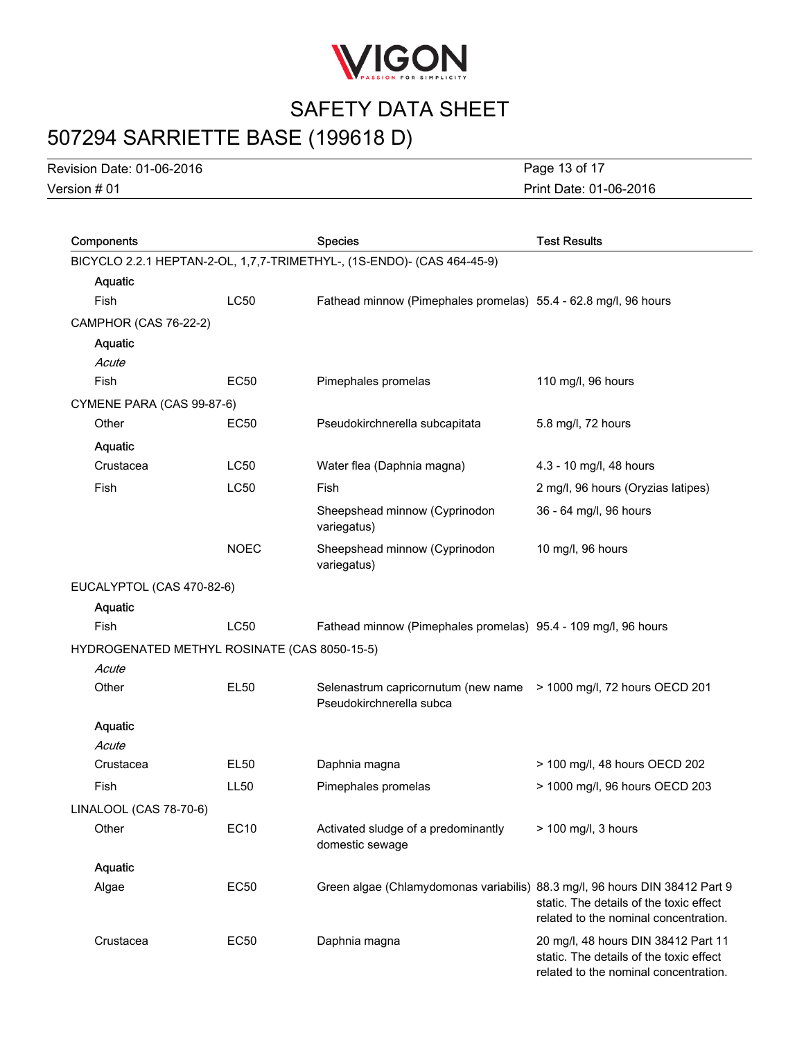

# 507294 SARRIETTE BASE (199618 D)

Version # 01 Revision Date: 01-06-2016

Print Date: 01-06-2016 Page 13 of 17

| Components                                   |             | <b>Species</b>                                                                                 | <b>Test Results</b>                                                                                                     |
|----------------------------------------------|-------------|------------------------------------------------------------------------------------------------|-------------------------------------------------------------------------------------------------------------------------|
|                                              |             | BICYCLO 2.2.1 HEPTAN-2-OL, 1,7,7-TRIMETHYL-, (1S-ENDO)- (CAS 464-45-9)                         |                                                                                                                         |
| Aquatic                                      |             |                                                                                                |                                                                                                                         |
| Fish                                         | <b>LC50</b> | Fathead minnow (Pimephales promelas) 55.4 - 62.8 mg/l, 96 hours                                |                                                                                                                         |
| CAMPHOR (CAS 76-22-2)                        |             |                                                                                                |                                                                                                                         |
| Aquatic                                      |             |                                                                                                |                                                                                                                         |
| Acute                                        |             |                                                                                                |                                                                                                                         |
| Fish                                         | EC50        | Pimephales promelas                                                                            | 110 mg/l, 96 hours                                                                                                      |
| CYMENE PARA (CAS 99-87-6)                    |             |                                                                                                |                                                                                                                         |
| Other                                        | EC50        | Pseudokirchnerella subcapitata                                                                 | 5.8 mg/l, 72 hours                                                                                                      |
| Aquatic                                      |             |                                                                                                |                                                                                                                         |
| Crustacea                                    | <b>LC50</b> | Water flea (Daphnia magna)                                                                     | 4.3 - 10 mg/l, 48 hours                                                                                                 |
| Fish                                         | <b>LC50</b> | Fish                                                                                           | 2 mg/l, 96 hours (Oryzias latipes)                                                                                      |
|                                              |             | Sheepshead minnow (Cyprinodon<br>variegatus)                                                   | 36 - 64 mg/l, 96 hours                                                                                                  |
|                                              | <b>NOEC</b> | Sheepshead minnow (Cyprinodon<br>variegatus)                                                   | 10 mg/l, 96 hours                                                                                                       |
| EUCALYPTOL (CAS 470-82-6)                    |             |                                                                                                |                                                                                                                         |
| Aquatic                                      |             |                                                                                                |                                                                                                                         |
| <b>Fish</b>                                  | <b>LC50</b> | Fathead minnow (Pimephales promelas) 95.4 - 109 mg/l, 96 hours                                 |                                                                                                                         |
| HYDROGENATED METHYL ROSINATE (CAS 8050-15-5) |             |                                                                                                |                                                                                                                         |
| Acute                                        |             |                                                                                                |                                                                                                                         |
| Other                                        | <b>EL50</b> | Selenastrum capricornutum (new name > 1000 mg/l, 72 hours OECD 201<br>Pseudokirchnerella subca |                                                                                                                         |
| Aquatic                                      |             |                                                                                                |                                                                                                                         |
| Acute                                        |             |                                                                                                |                                                                                                                         |
| Crustacea                                    | EL50        | Daphnia magna                                                                                  | > 100 mg/l, 48 hours OECD 202                                                                                           |
| Fish                                         | <b>LL50</b> | Pimephales promelas                                                                            | > 1000 mg/l, 96 hours OECD 203                                                                                          |
| LINALOOL (CAS 78-70-6)                       |             |                                                                                                |                                                                                                                         |
| Other                                        | EC10        | Activated sludge of a predominantly<br>domestic sewage                                         | $> 100$ mg/l, 3 hours                                                                                                   |
| Aquatic                                      |             |                                                                                                |                                                                                                                         |
| Algae                                        | <b>EC50</b> | Green algae (Chlamydomonas variabilis) 88.3 mg/l, 96 hours DIN 38412 Part 9                    | static. The details of the toxic effect<br>related to the nominal concentration.                                        |
| Crustacea                                    | EC50        | Daphnia magna                                                                                  | 20 mg/l, 48 hours DIN 38412 Part 11<br>static. The details of the toxic effect<br>related to the nominal concentration. |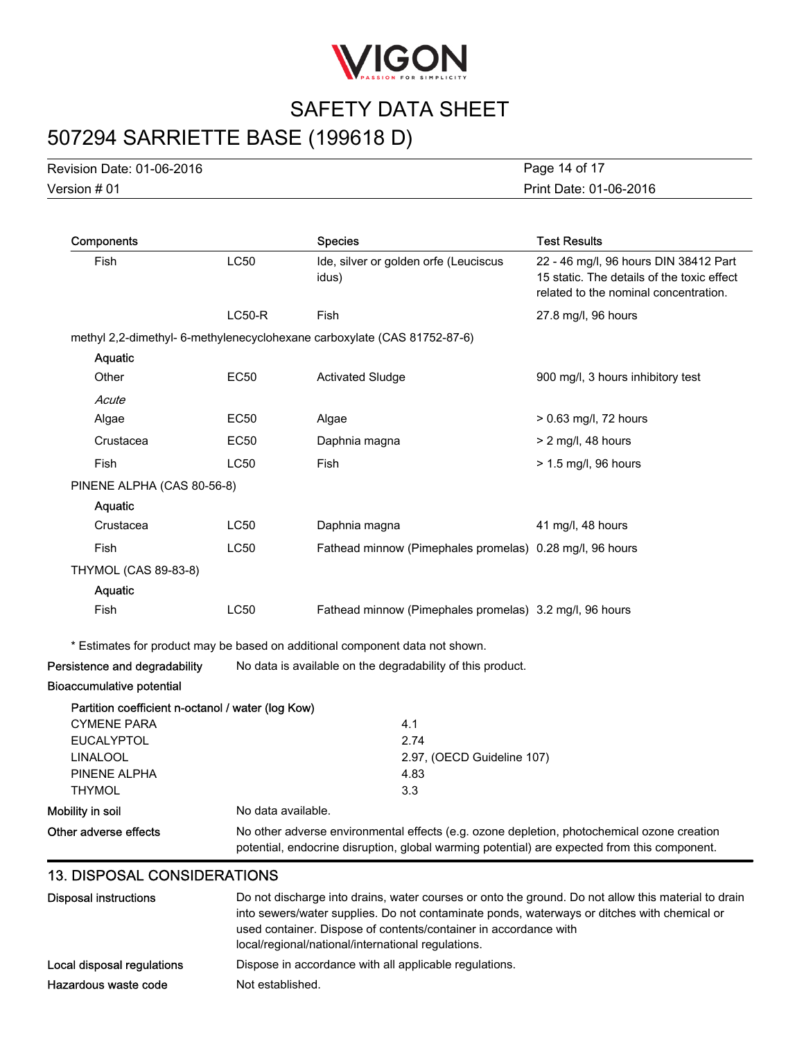

## 507294 SARRIETTE BASE (199618 D)

Version # 01 Revision Date: 01-06-2016 Print Date: 01-06-2016 Page 14 of 17

| Components                                        |                    | <b>Species</b>                                                                                                                                                                             | <b>Test Results</b>                                                                                                          |
|---------------------------------------------------|--------------------|--------------------------------------------------------------------------------------------------------------------------------------------------------------------------------------------|------------------------------------------------------------------------------------------------------------------------------|
| Fish                                              | <b>LC50</b>        | Ide, silver or golden orfe (Leuciscus<br>idus)                                                                                                                                             | 22 - 46 mg/l, 96 hours DIN 38412 Part<br>15 static. The details of the toxic effect<br>related to the nominal concentration. |
|                                                   | $LC50-R$           | Fish                                                                                                                                                                                       | 27.8 mg/l, 96 hours                                                                                                          |
|                                                   |                    | methyl 2,2-dimethyl- 6-methylenecyclohexane carboxylate (CAS 81752-87-6)                                                                                                                   |                                                                                                                              |
| Aquatic                                           |                    |                                                                                                                                                                                            |                                                                                                                              |
| Other                                             | <b>EC50</b>        | <b>Activated Sludge</b>                                                                                                                                                                    | 900 mg/l, 3 hours inhibitory test                                                                                            |
| Acute                                             |                    |                                                                                                                                                                                            |                                                                                                                              |
| Algae                                             | <b>EC50</b>        | Algae                                                                                                                                                                                      | > 0.63 mg/l, 72 hours                                                                                                        |
| Crustacea                                         | EC50               | Daphnia magna                                                                                                                                                                              | $> 2$ mg/l, 48 hours                                                                                                         |
| Fish                                              | <b>LC50</b>        | Fish                                                                                                                                                                                       | > 1.5 mg/l, 96 hours                                                                                                         |
| PINENE ALPHA (CAS 80-56-8)                        |                    |                                                                                                                                                                                            |                                                                                                                              |
| Aquatic                                           |                    |                                                                                                                                                                                            |                                                                                                                              |
| Crustacea                                         | <b>LC50</b>        | Daphnia magna                                                                                                                                                                              | 41 mg/l, 48 hours                                                                                                            |
| Fish                                              | <b>LC50</b>        | Fathead minnow (Pimephales promelas) 0.28 mg/l, 96 hours                                                                                                                                   |                                                                                                                              |
| <b>THYMOL (CAS 89-83-8)</b>                       |                    |                                                                                                                                                                                            |                                                                                                                              |
| Aquatic                                           |                    |                                                                                                                                                                                            |                                                                                                                              |
| Fish                                              | <b>LC50</b>        | Fathead minnow (Pimephales promelas) 3.2 mg/l, 96 hours                                                                                                                                    |                                                                                                                              |
|                                                   |                    | * Estimates for product may be based on additional component data not shown.                                                                                                               |                                                                                                                              |
| Persistence and degradability                     |                    | No data is available on the degradability of this product.                                                                                                                                 |                                                                                                                              |
| <b>Bioaccumulative potential</b>                  |                    |                                                                                                                                                                                            |                                                                                                                              |
| Partition coefficient n-octanol / water (log Kow) |                    |                                                                                                                                                                                            |                                                                                                                              |
| <b>CYMENE PARA</b>                                |                    | 4.1                                                                                                                                                                                        |                                                                                                                              |
| <b>EUCALYPTOL</b>                                 |                    | 2.74                                                                                                                                                                                       |                                                                                                                              |
| <b>LINALOOL</b>                                   |                    | 2.97, (OECD Guideline 107)                                                                                                                                                                 |                                                                                                                              |
| PINENE ALPHA                                      |                    | 4.83                                                                                                                                                                                       |                                                                                                                              |
| <b>THYMOL</b>                                     |                    | 3.3                                                                                                                                                                                        |                                                                                                                              |
| Mobility in soil                                  | No data available. |                                                                                                                                                                                            |                                                                                                                              |
| Other adverse effects                             |                    | No other adverse environmental effects (e.g. ozone depletion, photochemical ozone creation<br>potential, endocrine disruption, global warming potential) are expected from this component. |                                                                                                                              |

### 13. DISPOSAL CONSIDERATIONS

| Disposal instructions      | Do not discharge into drains, water courses or onto the ground. Do not allow this material to drain<br>into sewers/water supplies. Do not contaminate ponds, waterways or ditches with chemical or<br>used container. Dispose of contents/container in accordance with<br>local/regional/national/international regulations. |
|----------------------------|------------------------------------------------------------------------------------------------------------------------------------------------------------------------------------------------------------------------------------------------------------------------------------------------------------------------------|
| Local disposal regulations | Dispose in accordance with all applicable regulations.                                                                                                                                                                                                                                                                       |
| Hazardous waste code       | Not established.                                                                                                                                                                                                                                                                                                             |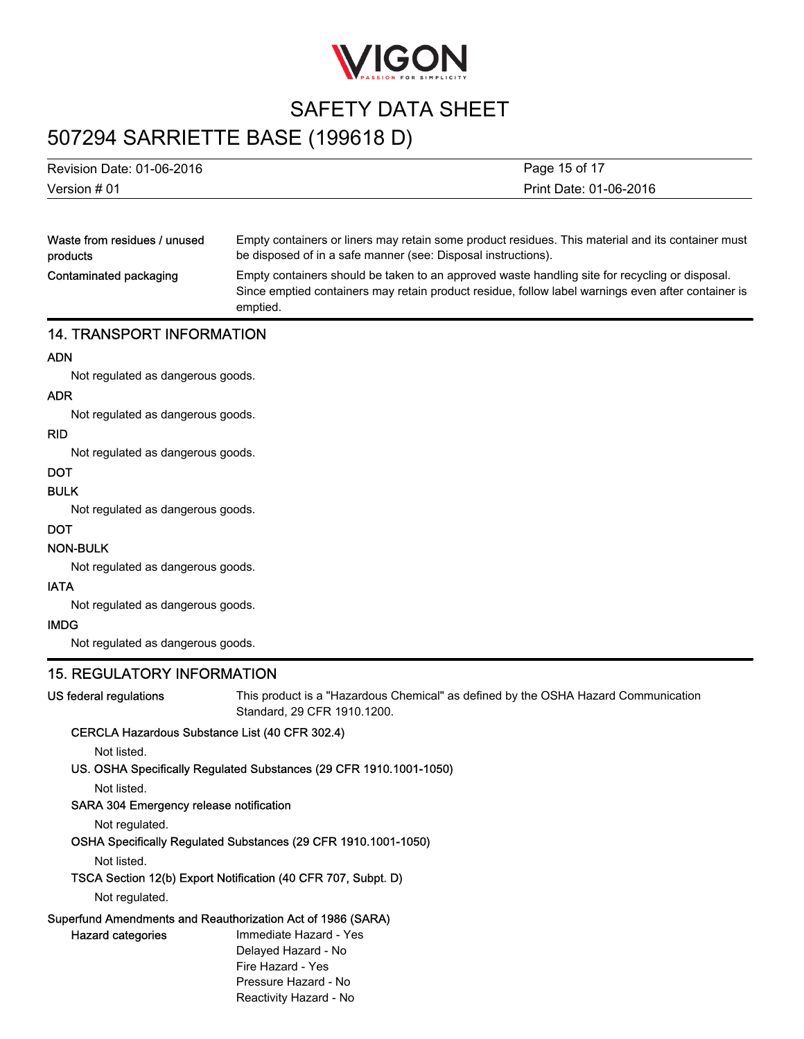

## 507294 SARRIETTE BASE (199618 D)

emptied.

| Version # 01              | Print Date: 01-06-2016 |
|---------------------------|------------------------|
| Revision Date: 01-06-2016 | Page 15 of 17          |
|                           |                        |

| Waste from residues / unused | Empty containers or liners may retain some product residues. This material and its container must                                                                                                    |
|------------------------------|------------------------------------------------------------------------------------------------------------------------------------------------------------------------------------------------------|
| products                     | be disposed of in a safe manner (see: Disposal instructions).                                                                                                                                        |
| Contaminated packaging       | Empty containers should be taken to an approved waste handling site for recycling or disposal.<br>Since emptied containers may retain product residue, follow label warnings even after container is |

### 14. TRANSPORT INFORMATION

### ADN

Not regulated as dangerous goods.

#### ADR

Not regulated as dangerous goods.

#### RID

Not regulated as dangerous goods.

### **DOT**

### BULK

Not regulated as dangerous goods.

#### DOT

### NON-BULK

Not regulated as dangerous goods.

### IATA

Not regulated as dangerous goods.

### IMDG

Not regulated as dangerous goods.

### 15. REGULATORY INFORMATION

US federal regulations This product is a "Hazardous Chemical" as defined by the OSHA Hazard Communication Standard, 29 CFR 1910.1200.

### CERCLA Hazardous Substance List (40 CFR 302.4)

Not listed.

### US. OSHA Specifically Regulated Substances (29 CFR 1910.1001-1050)

Not listed.

#### SARA 304 Emergency release notification

Not regulated.

#### OSHA Specifically Regulated Substances (29 CFR 1910.1001-1050)

Not listed.

### TSCA Section 12(b) Export Notification (40 CFR 707, Subpt. D)

Not regulated.

### Superfund Amendments and Reauthorization Act of 1986 (SARA)

Hazard categories **Immediate Hazard - Yes** Delayed Hazard - No Fire Hazard - Yes Pressure Hazard - No Reactivity Hazard - No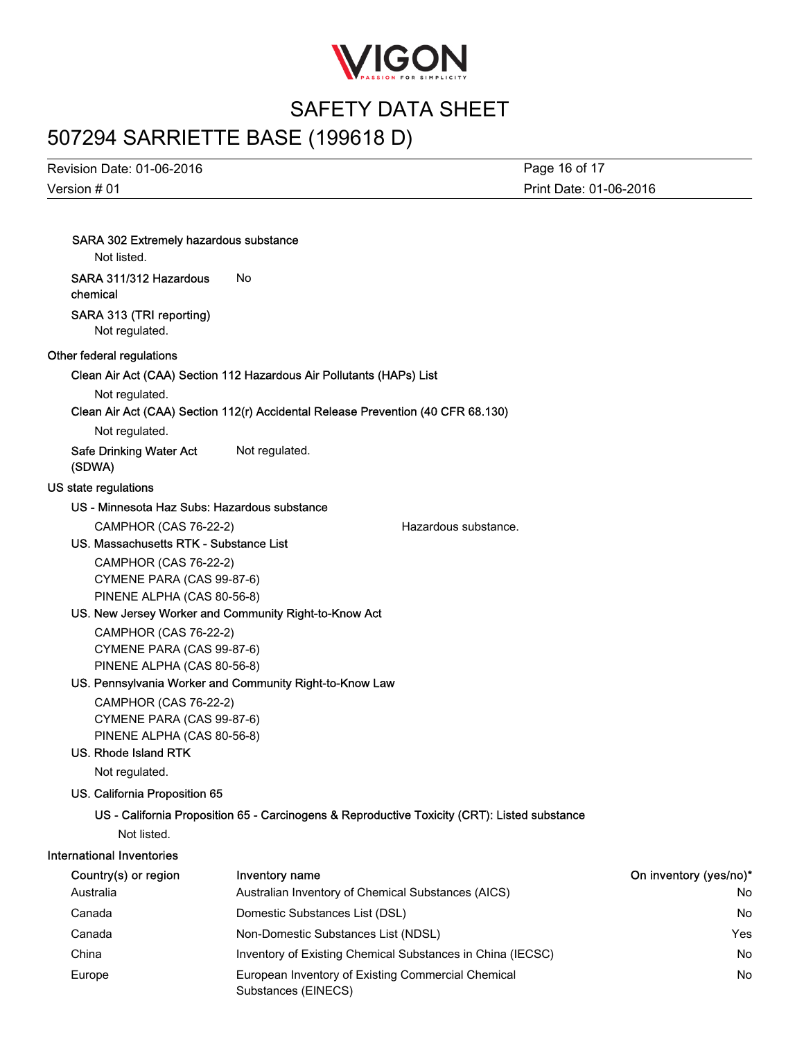

## 507294 SARRIETTE BASE (199618 D)

Version # 01 Revision Date: 01-06-2016 Print Date: 01-06-2016 Page 16 of 17

| <b>SARA 302 Extremely hazardous substance</b><br>Not listed. |                                                                                              |                      |                        |
|--------------------------------------------------------------|----------------------------------------------------------------------------------------------|----------------------|------------------------|
| SARA 311/312 Hazardous<br>chemical                           | No.                                                                                          |                      |                        |
| SARA 313 (TRI reporting)<br>Not regulated.                   |                                                                                              |                      |                        |
| Other federal regulations                                    |                                                                                              |                      |                        |
|                                                              | Clean Air Act (CAA) Section 112 Hazardous Air Pollutants (HAPs) List                         |                      |                        |
| Not regulated.                                               | Clean Air Act (CAA) Section 112(r) Accidental Release Prevention (40 CFR 68.130)             |                      |                        |
| Not regulated.                                               |                                                                                              |                      |                        |
| <b>Safe Drinking Water Act</b><br>(SDWA)                     | Not regulated.                                                                               |                      |                        |
| US state regulations                                         |                                                                                              |                      |                        |
| US - Minnesota Haz Subs: Hazardous substance                 |                                                                                              |                      |                        |
| CAMPHOR (CAS 76-22-2)                                        |                                                                                              | Hazardous substance. |                        |
| US. Massachusetts RTK - Substance List                       |                                                                                              |                      |                        |
| <b>CAMPHOR (CAS 76-22-2)</b>                                 |                                                                                              |                      |                        |
| CYMENE PARA (CAS 99-87-6)                                    |                                                                                              |                      |                        |
| PINENE ALPHA (CAS 80-56-8)                                   |                                                                                              |                      |                        |
|                                                              | US. New Jersey Worker and Community Right-to-Know Act                                        |                      |                        |
| <b>CAMPHOR (CAS 76-22-2)</b>                                 |                                                                                              |                      |                        |
| CYMENE PARA (CAS 99-87-6)                                    |                                                                                              |                      |                        |
| PINENE ALPHA (CAS 80-56-8)                                   | US. Pennsylvania Worker and Community Right-to-Know Law                                      |                      |                        |
| <b>CAMPHOR (CAS 76-22-2)</b>                                 |                                                                                              |                      |                        |
| CYMENE PARA (CAS 99-87-6)                                    |                                                                                              |                      |                        |
| PINENE ALPHA (CAS 80-56-8)                                   |                                                                                              |                      |                        |
| <b>US. Rhode Island RTK</b>                                  |                                                                                              |                      |                        |
| Not regulated.                                               |                                                                                              |                      |                        |
| US. California Proposition 65                                |                                                                                              |                      |                        |
|                                                              | US - California Proposition 65 - Carcinogens & Reproductive Toxicity (CRT): Listed substance |                      |                        |
| Not listed.                                                  |                                                                                              |                      |                        |
| <b>International Inventories</b>                             |                                                                                              |                      |                        |
| Country(s) or region                                         | Inventory name                                                                               |                      | On inventory (yes/no)* |
| Australia                                                    | Australian Inventory of Chemical Substances (AICS)                                           |                      | No                     |
| Canada                                                       | Domestic Substances List (DSL)                                                               |                      | No                     |
|                                                              |                                                                                              |                      |                        |

Canada Domestic Substances List (DSL) No Canada Non-Domestic Substances List (NDSL) Yes China **Inventory of Existing Chemical Substances in China (IECSC)** No No Europe **European Inventory of Existing Commercial Chemical** No **European Inventory of Existing Commercial Chemical** Substances (EINECS)